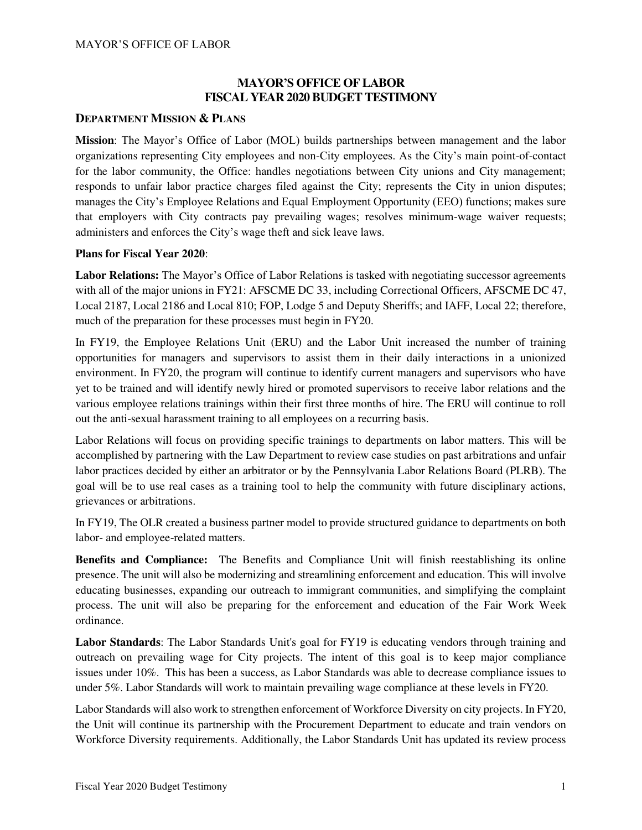# **MAYOR'S OFFICE OF LABOR FISCAL YEAR 2020 BUDGET TESTIMONY**

### **DEPARTMENT MISSION & PLANS**

**Mission**: The Mayor's Office of Labor (MOL) builds partnerships between management and the labor organizations representing City employees and non-City employees. As the City's main point-of-contact for the labor community, the Office: handles negotiations between City unions and City management; responds to unfair labor practice charges filed against the City; represents the City in union disputes; manages the City's Employee Relations and Equal Employment Opportunity (EEO) functions; makes sure that employers with City contracts pay prevailing wages; resolves minimum-wage waiver requests; administers and enforces the City's wage theft and sick leave laws.

### **Plans for Fiscal Year 2020**:

**Labor Relations:** The Mayor's Office of Labor Relations is tasked with negotiating successor agreements with all of the major unions in FY21: AFSCME DC 33, including Correctional Officers, AFSCME DC 47, Local 2187, Local 2186 and Local 810; FOP, Lodge 5 and Deputy Sheriffs; and IAFF, Local 22; therefore, much of the preparation for these processes must begin in FY20.

In FY19, the Employee Relations Unit (ERU) and the Labor Unit increased the number of training opportunities for managers and supervisors to assist them in their daily interactions in a unionized environment. In FY20, the program will continue to identify current managers and supervisors who have yet to be trained and will identify newly hired or promoted supervisors to receive labor relations and the various employee relations trainings within their first three months of hire. The ERU will continue to roll out the anti-sexual harassment training to all employees on a recurring basis.

Labor Relations will focus on providing specific trainings to departments on labor matters. This will be accomplished by partnering with the Law Department to review case studies on past arbitrations and unfair labor practices decided by either an arbitrator or by the Pennsylvania Labor Relations Board (PLRB). The goal will be to use real cases as a training tool to help the community with future disciplinary actions, grievances or arbitrations.

In FY19, The OLR created a business partner model to provide structured guidance to departments on both labor- and employee-related matters.

**Benefits and Compliance:** The Benefits and Compliance Unit will finish reestablishing its online presence. The unit will also be modernizing and streamlining enforcement and education. This will involve educating businesses, expanding our outreach to immigrant communities, and simplifying the complaint process. The unit will also be preparing for the enforcement and education of the Fair Work Week ordinance.

**Labor Standards**: The Labor Standards Unit's goal for FY19 is educating vendors through training and outreach on prevailing wage for City projects. The intent of this goal is to keep major compliance issues under 10%. This has been a success, as Labor Standards was able to decrease compliance issues to under 5%. Labor Standards will work to maintain prevailing wage compliance at these levels in FY20.

Labor Standards will also work to strengthen enforcement of Workforce Diversity on city projects. In FY20, the Unit will continue its partnership with the Procurement Department to educate and train vendors on Workforce Diversity requirements. Additionally, the Labor Standards Unit has updated its review process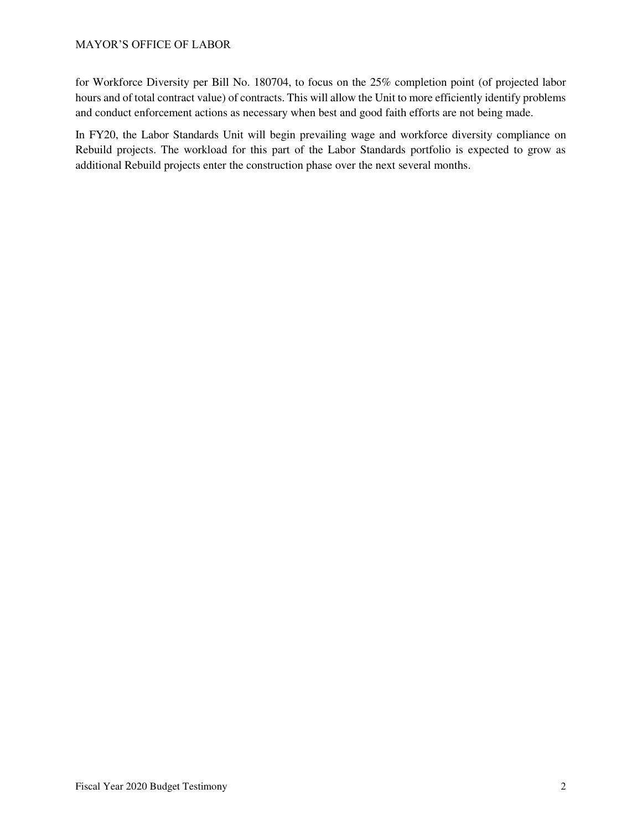for Workforce Diversity per Bill No. 180704, to focus on the 25% completion point (of projected labor hours and of total contract value) of contracts. This will allow the Unit to more efficiently identify problems and conduct enforcement actions as necessary when best and good faith efforts are not being made.

In FY20, the Labor Standards Unit will begin prevailing wage and workforce diversity compliance on Rebuild projects. The workload for this part of the Labor Standards portfolio is expected to grow as additional Rebuild projects enter the construction phase over the next several months.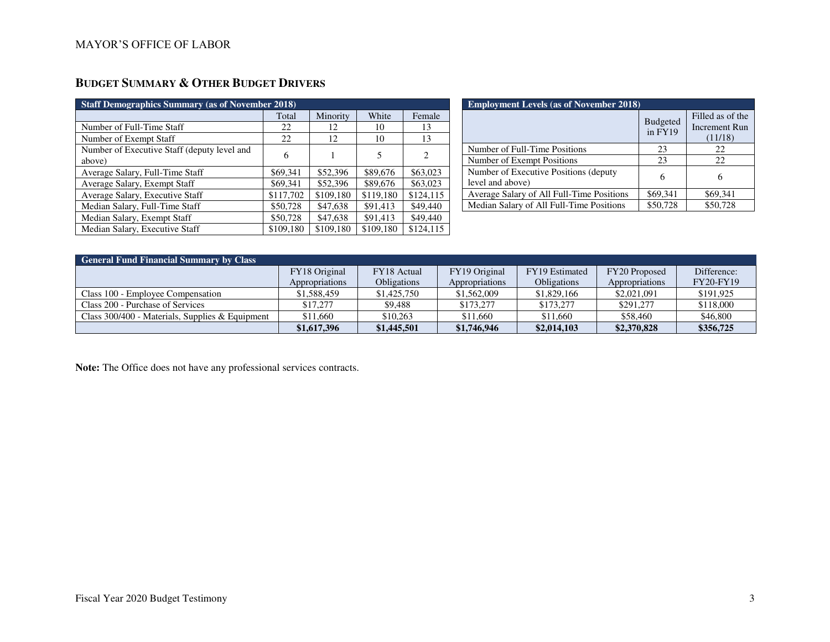# **BUDGET SUMMARY & OTHER BUDGET DRIVERS**

| <b>Staff Demographics Summary (as of November 2018)</b> |           |           |           |                             |  |  |
|---------------------------------------------------------|-----------|-----------|-----------|-----------------------------|--|--|
|                                                         | Total     | Minority  | White     | Female                      |  |  |
| Number of Full-Time Staff                               | 22        | 12        | 10        | 13                          |  |  |
| Number of Exempt Staff                                  | 22        | 12        | 10        | 13                          |  |  |
| Number of Executive Staff (deputy level and<br>above)   | 6         |           | 5         | $\mathcal{D}_{\mathcal{L}}$ |  |  |
| Average Salary, Full-Time Staff                         | \$69,341  | \$52,396  | \$89,676  | \$63,023                    |  |  |
| Average Salary, Exempt Staff                            | \$69,341  | \$52,396  | \$89,676  | \$63,023                    |  |  |
| Average Salary, Executive Staff                         | \$117,702 | \$109,180 | \$119,180 | \$124,115                   |  |  |
| Median Salary, Full-Time Staff                          | \$50,728  | \$47,638  | \$91,413  | \$49,440                    |  |  |
| Median Salary, Exempt Staff                             | \$50,728  | \$47,638  | \$91,413  | \$49,440                    |  |  |
| Median Salary, Executive Staff                          | \$109,180 | \$109,180 | \$109,180 | \$124,115                   |  |  |

| <b>Employment Levels (as of November 2018)</b>             |                            |                                              |  |  |  |  |
|------------------------------------------------------------|----------------------------|----------------------------------------------|--|--|--|--|
|                                                            | <b>Budgeted</b><br>in FY19 | Filled as of the<br>Increment Run<br>(11/18) |  |  |  |  |
| Number of Full-Time Positions                              | 23                         | 22                                           |  |  |  |  |
| Number of Exempt Positions                                 | 23                         | 22                                           |  |  |  |  |
| Number of Executive Positions (deputy)<br>level and above) | 6                          | 6                                            |  |  |  |  |
| Average Salary of All Full-Time Positions                  | \$69,341                   | \$69,341                                     |  |  |  |  |
| Median Salary of All Full-Time Positions                   | \$50,728                   | \$50,728                                     |  |  |  |  |

| <b>General Fund Financial Summary by Class</b>    |                |                    |                |                    |                      |                  |  |  |
|---------------------------------------------------|----------------|--------------------|----------------|--------------------|----------------------|------------------|--|--|
|                                                   | FY18 Original  | FY18 Actual        | FY19 Original  | FY19 Estimated     | <b>FY20</b> Proposed | Difference:      |  |  |
|                                                   | Appropriations | <b>Obligations</b> | Appropriations | <b>Obligations</b> | Appropriations       | <b>FY20-FY19</b> |  |  |
| Class 100 - Employee Compensation                 | \$1,588,459    | \$1,425,750        | \$1,562,009    | \$1,829,166        | \$2,021,091          | \$191,925        |  |  |
| Class 200 - Purchase of Services                  | \$17,277       | \$9.488            | \$173,277      | \$173,277          | \$291,277            | \$118,000        |  |  |
| Class $300/400$ - Materials, Supplies & Equipment | \$11,660       | \$10.263           | \$11,660       | \$11,660           | \$58,460             | \$46,800         |  |  |
|                                                   | \$1,617,396    | \$1,445,501        | \$1,746,946    | \$2,014,103        | \$2,370,828          | \$356,725        |  |  |

**Note:** The Office does not have any professional services contracts.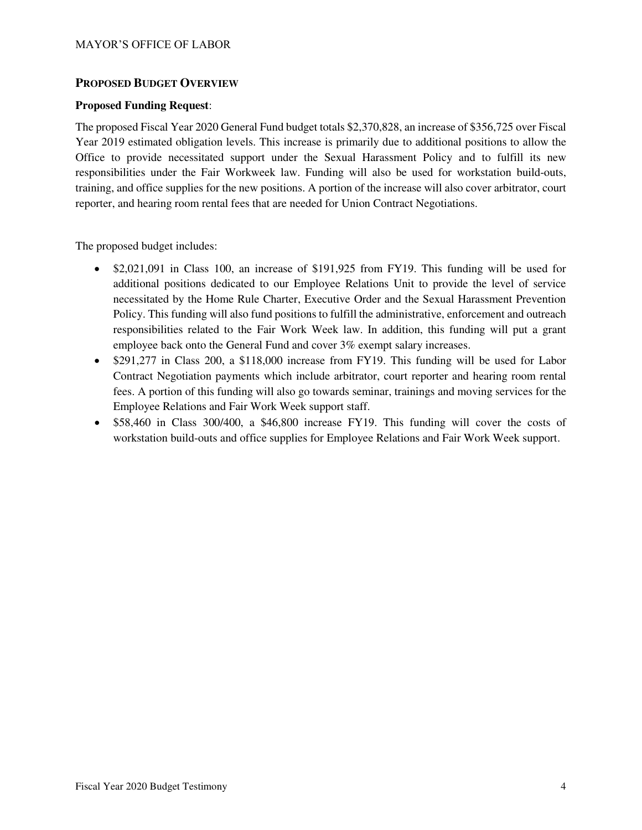### **PROPOSED BUDGET OVERVIEW**

### **Proposed Funding Request**:

The proposed Fiscal Year 2020 General Fund budget totals \$2,370,828, an increase of \$356,725 over Fiscal Year 2019 estimated obligation levels. This increase is primarily due to additional positions to allow the Office to provide necessitated support under the Sexual Harassment Policy and to fulfill its new responsibilities under the Fair Workweek law. Funding will also be used for workstation build-outs, training, and office supplies for the new positions. A portion of the increase will also cover arbitrator, court reporter, and hearing room rental fees that are needed for Union Contract Negotiations.

The proposed budget includes:

- \$2,021,091 in Class 100, an increase of \$191,925 from FY19. This funding will be used for additional positions dedicated to our Employee Relations Unit to provide the level of service necessitated by the Home Rule Charter, Executive Order and the Sexual Harassment Prevention Policy. This funding will also fund positions to fulfill the administrative, enforcement and outreach responsibilities related to the Fair Work Week law. In addition, this funding will put a grant employee back onto the General Fund and cover 3% exempt salary increases.
- \$291,277 in Class 200, a \$118,000 increase from FY19. This funding will be used for Labor Contract Negotiation payments which include arbitrator, court reporter and hearing room rental fees. A portion of this funding will also go towards seminar, trainings and moving services for the Employee Relations and Fair Work Week support staff.
- \$58,460 in Class 300/400, a \$46,800 increase FY19. This funding will cover the costs of workstation build-outs and office supplies for Employee Relations and Fair Work Week support.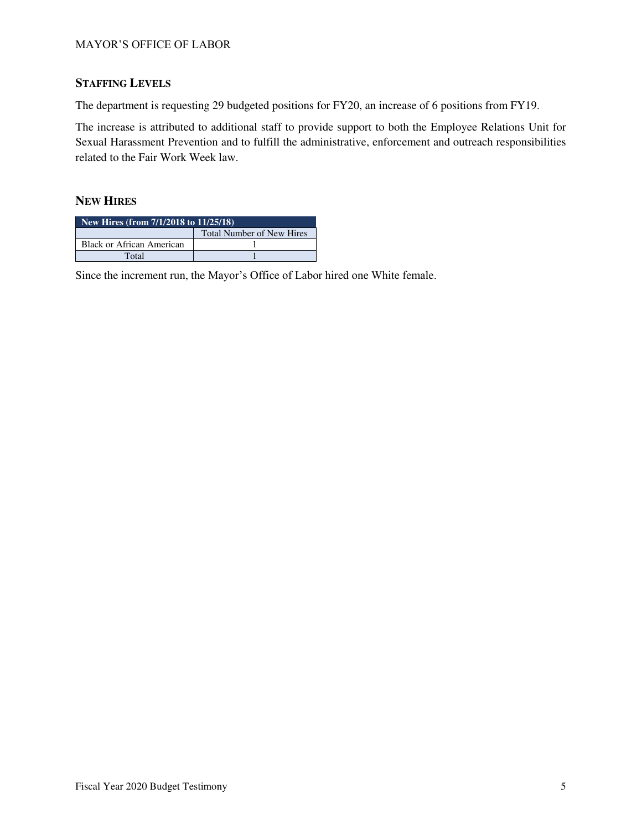# **STAFFING LEVELS**

The department is requesting 29 budgeted positions for FY20, an increase of 6 positions from FY19.

The increase is attributed to additional staff to provide support to both the Employee Relations Unit for Sexual Harassment Prevention and to fulfill the administrative, enforcement and outreach responsibilities related to the Fair Work Week law.

## **NEW HIRES**

| New Hires (from $7/1/2018$ to $11/25/18$ ) |  |  |  |  |
|--------------------------------------------|--|--|--|--|
| <b>Total Number of New Hires</b>           |  |  |  |  |
| <b>Black or African American</b>           |  |  |  |  |
| Total                                      |  |  |  |  |

Since the increment run, the Mayor's Office of Labor hired one White female.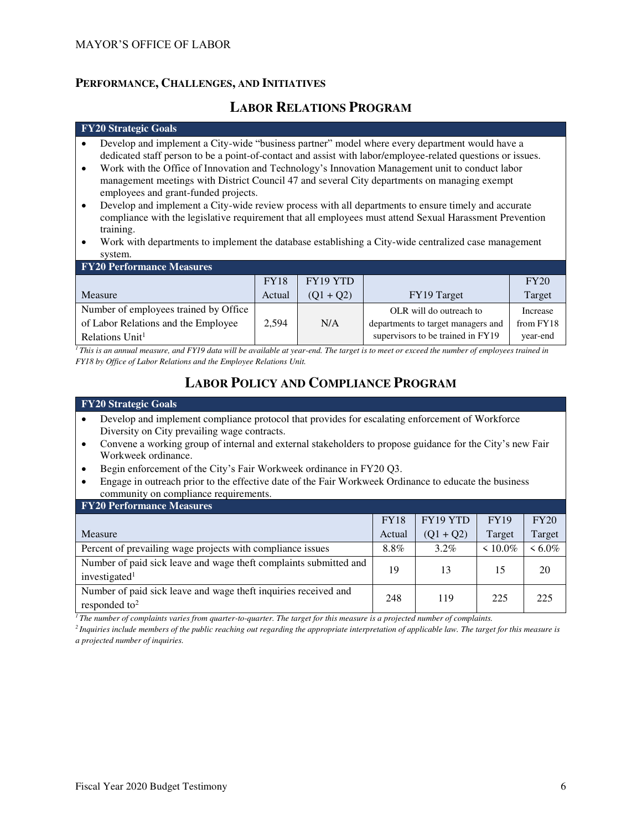## **PERFORMANCE, CHALLENGES, AND INITIATIVES**

# **LABOR RELATIONS PROGRAM**

#### **FY20 Strategic Goals**

- Develop and implement a City-wide "business partner" model where every department would have a dedicated staff person to be a point-of-contact and assist with labor/employee-related questions or issues.
- Work with the Office of Innovation and Technology's Innovation Management unit to conduct labor management meetings with District Council 47 and several City departments on managing exempt employees and grant-funded projects.
- Develop and implement a City-wide review process with all departments to ensure timely and accurate compliance with the legislative requirement that all employees must attend Sexual Harassment Prevention training.
- Work with departments to implement the database establishing a City-wide centralized case management system.

| <b>FY20 Performance Measures</b>      |             |             |                                    |           |  |  |  |
|---------------------------------------|-------------|-------------|------------------------------------|-----------|--|--|--|
|                                       | <b>FY18</b> | FY19 YTD    |                                    | FY20      |  |  |  |
| <b>Measure</b>                        | Actual      | $(01 + 02)$ | FY19 Target                        | Target    |  |  |  |
| Number of employees trained by Office |             |             | OLR will do outreach to            | Increase  |  |  |  |
| of Labor Relations and the Employee   | 2.594       | N/A         | departments to target managers and | from FY18 |  |  |  |
| Relations Unit <sup>1</sup>           |             |             | supervisors to be trained in FY19  | year-end  |  |  |  |

<sup>*1</sup>This is an annual measure, and FY19 data will be available at year-end. The target is to meet or exceed the number of employees trained in*</sup> *FY18 by Office of Labor Relations and the Employee Relations Unit.* 

# **LABOR POLICY AND COMPLIANCE PROGRAM**

#### **FY20 Strategic Goals**

- Develop and implement compliance protocol that provides for escalating enforcement of Workforce Diversity on City prevailing wage contracts.
- Convene a working group of internal and external stakeholders to propose guidance for the City's new Fair Workweek ordinance.
- Begin enforcement of the City's Fair Workweek ordinance in FY20 Q3.
- Engage in outreach prior to the effective date of the Fair Workweek Ordinance to educate the business community on compliance requirements.

| <b>FY20 Performance Measures</b>                                                             |             |             |               |           |  |  |  |
|----------------------------------------------------------------------------------------------|-------------|-------------|---------------|-----------|--|--|--|
|                                                                                              | <b>FY18</b> | FY19 YTD    | <b>FY19</b>   | FY20      |  |  |  |
| Measure                                                                                      | Actual      | $(Q1 + Q2)$ | Target        | Target    |  |  |  |
| Percent of prevailing wage projects with compliance issues                                   | 8.8%        | $3.2\%$     | $\leq 10.0\%$ | $< 6.0\%$ |  |  |  |
| Number of paid sick leave and wage theft complaints submitted and<br>investigated $1$        | 19          | 13          | 15            | 20        |  |  |  |
| Number of paid sick leave and wage theft inquiries received and<br>responded to <sup>2</sup> | 248         | 119         | 225           | 225       |  |  |  |

*<sup>1</sup>The number of complaints varies from quarter-to-quarter. The target for this measure is a projected number of complaints.* 

*<sup>2</sup>Inquiries include members of the public reaching out regarding the appropriate interpretation of applicable law. The target for this measure is a projected number of inquiries.*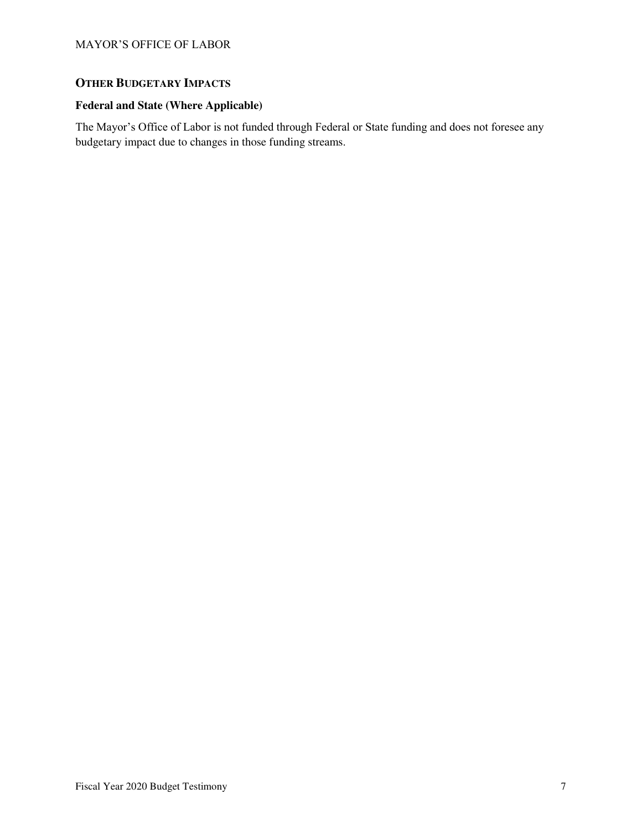### MAYOR'S OFFICE OF LABOR

# **OTHER BUDGETARY IMPACTS**

# **Federal and State (Where Applicable)**

The Mayor's Office of Labor is not funded through Federal or State funding and does not foresee any budgetary impact due to changes in those funding streams.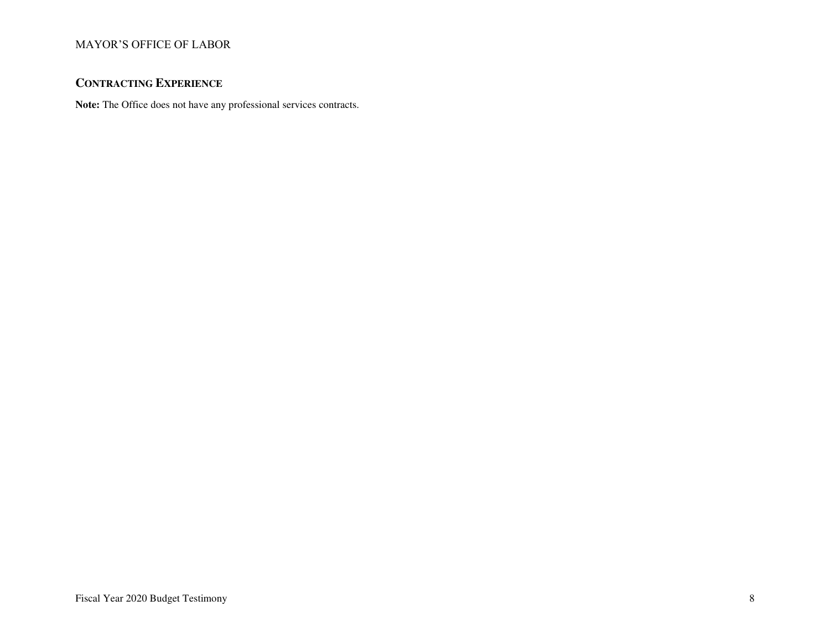# MAYOR'S OFFICE OF LABOR

# **CONTRACTING EXPERIENCE**

**Note:** The Office does not have any professional services contracts.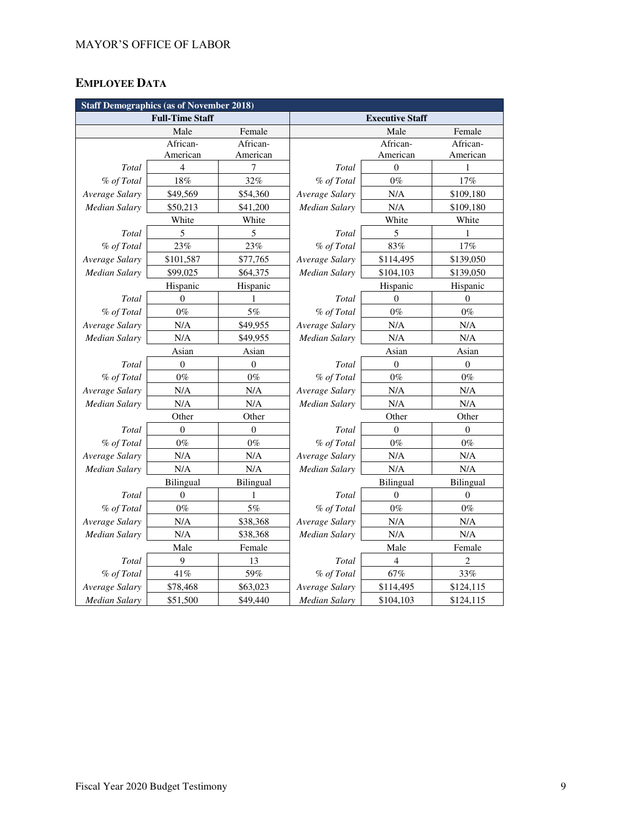# **EMPLOYEE DATA**

| <b>Staff Demographics (as of November 2018)</b> |                        |                  |                        |                  |                  |  |
|-------------------------------------------------|------------------------|------------------|------------------------|------------------|------------------|--|
|                                                 | <b>Full-Time Staff</b> |                  | <b>Executive Staff</b> |                  |                  |  |
|                                                 | Male                   | Female           |                        | Male             | Female           |  |
|                                                 | African-               | African-         |                        | African-         | African-         |  |
|                                                 | American               | American         |                        | American         | American         |  |
| Total                                           | $\overline{4}$         | 7                | Total                  | $\theta$         | 1                |  |
| % of Total                                      | 18%                    | 32%              | % of Total             | $0\%$            | 17%              |  |
| Average Salary                                  | \$49,569               | \$54,360         | Average Salary         | N/A              | \$109,180        |  |
| Median Salary                                   | \$50,213               | \$41,200         | Median Salary          | N/A              | \$109,180        |  |
|                                                 | White                  | White            |                        | White            | White            |  |
| Total                                           | 5                      | 5                | Total                  | 5                | 1                |  |
| % of Total                                      | 23%                    | 23%              | % of Total             | 83%              | 17%              |  |
| Average Salary                                  | \$101,587              | \$77,765         | Average Salary         | \$114,495        | \$139,050        |  |
| <b>Median Salary</b>                            | \$99,025               | \$64,375         | Median Salary          | \$104,103        | \$139,050        |  |
|                                                 | Hispanic               | Hispanic         |                        | Hispanic         | Hispanic         |  |
| Total                                           | $\mathbf{0}$           | 1                | Total                  | $\mathbf{0}$     | $\mathbf{0}$     |  |
| % of Total                                      | $0\%$                  | 5%               | % of Total             | $0\%$            | $0\%$            |  |
| Average Salary                                  | N/A                    | \$49,955         | Average Salary         | N/A              | N/A              |  |
| Median Salary                                   | N/A                    | \$49,955         | <b>Median Salary</b>   | N/A              | N/A              |  |
|                                                 | Asian                  | Asian            | Asian                  |                  | Asian            |  |
| Total                                           | $\boldsymbol{0}$       | $\boldsymbol{0}$ | Total                  | $\boldsymbol{0}$ | $\boldsymbol{0}$ |  |
| % of Total                                      | $0\%$                  | $0\%$            | % of Total             | $0\%$            | $0\%$            |  |
| Average Salary                                  | $\rm N/A$              | N/A              | Average Salary         | N/A              | $\rm N/A$        |  |
| <b>Median Salary</b>                            | N/A                    | N/A              | Median Salary          | N/A              | N/A              |  |
|                                                 | Other                  | Other            | Other<br>Other         |                  |                  |  |
| Total                                           | $\overline{0}$         | $\mathbf{0}$     | Total                  | $\theta$         | $\mathbf{0}$     |  |
| % of Total                                      | $0\%$                  | $0\%$            | % of Total             | $0\%$            | $0\%$            |  |
| Average Salary                                  | $\rm N/A$              | N/A              | Average Salary         | N/A              | N/A              |  |
| Median Salary                                   | N/A                    | N/A              | Median Salary          | N/A              | N/A              |  |
|                                                 | <b>Bilingual</b>       | Bilingual        | Bilingual              |                  | Bilingual        |  |
| Total                                           | $\overline{0}$         | 1                | Total                  | $\overline{0}$   | $\overline{0}$   |  |
| % of Total                                      | $0\%$                  | 5%               | % of Total             | $0\%$            | $0\%$            |  |
| Average Salary                                  | N/A                    | \$38,368         | Average Salary         | N/A              | $\rm N/A$        |  |
| Median Salary                                   | N/A                    | \$38,368         | Median Salary          | N/A              | N/A              |  |
|                                                 | Male                   | Female           | Male                   |                  | Female           |  |
| Total                                           | 9                      | 13               | Total                  | $\overline{4}$   | $\overline{c}$   |  |
| % of Total                                      | 41%                    | 59%              | % of Total             | 67%              | 33%              |  |
| Average Salary                                  | \$78,468               | \$63,023         | Average Salary         | \$114,495        | \$124,115        |  |
| <b>Median Salary</b>                            | \$51,500               | \$49,440         | <b>Median Salary</b>   | \$104,103        | \$124,115        |  |